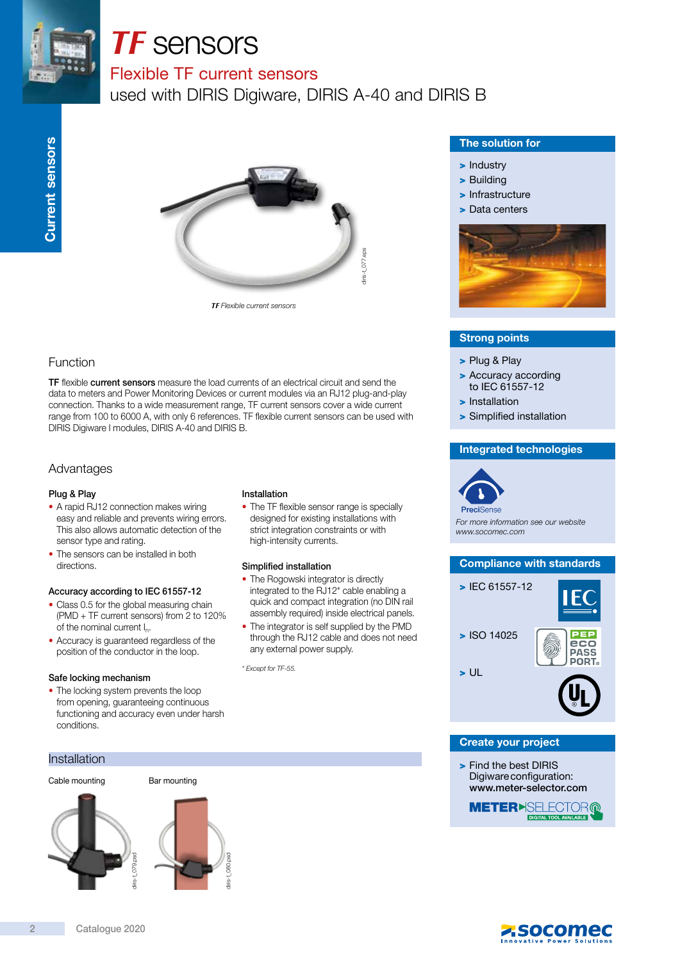

# *TF* sensors

# Flexible TF current sensors

used with DIRIS Digiware, DIRIS A-40 and DIRIS B



*TF* Flexible current sensors

# Function

TF flexible current sensors measure the load currents of an electrical circuit and send the data to meters and Power Monitoring Devices or current modules via an RJ12 plug-and-play connection. Thanks to a wide measurement range, TF current sensors cover a wide current range from 100 to 6000 A, with only 6 references. TF flexible current sensors can be used with DIRIS Digiware I modules, DIRIS A-40 and DIRIS B.

## Advantages

#### Plug & Play

- A rapid RJ12 connection makes wiring easy and reliable and prevents wiring errors. This also allows automatic detection of the sensor type and rating.
- The sensors can be installed in both directions.

#### Accuracy according to IEC 61557-12

- Class 0.5 for the global measuring chain (PMD + TF current sensors) from 2 to 120% of the nominal current I<sub>n</sub>.
- Accuracy is guaranteed regardless of the position of the conductor in the loop.

#### Safe locking mechanism

• The locking system prevents the loop from opening, guaranteeing continuous functioning and accuracy even under harsh conditions.

#### Installation











#### Installation

• The TF flexible sensor range is specially designed for existing installations with strict integration constraints or with high-intensity currents.

#### Simplified installation

- The Rogowski integrator is directly integrated to the RJ12\* cable enabling a quick and compact integration (no DIN rail assembly required) inside electrical panels.
- The integrator is self supplied by the PMD through the RJ12 cable and does not need any external power supply.

\* Except for TF-55.

#### The solution for

- > Industry
- > Building
- > Infrastructure
- > Data centers



#### Strong points

- > Plug & Play
- > Accuracy according to IEC 61557-12
- > Installation
- > Simplified installation

#### Integrated technologies



For more information see our website www.socomec.com



#### Create your project

> Find the best DIRIS Digiwareconfiguration: www.meter-selector.com

**METER**>SELECTOR@ **DIGITAL TOOL AVAIL**